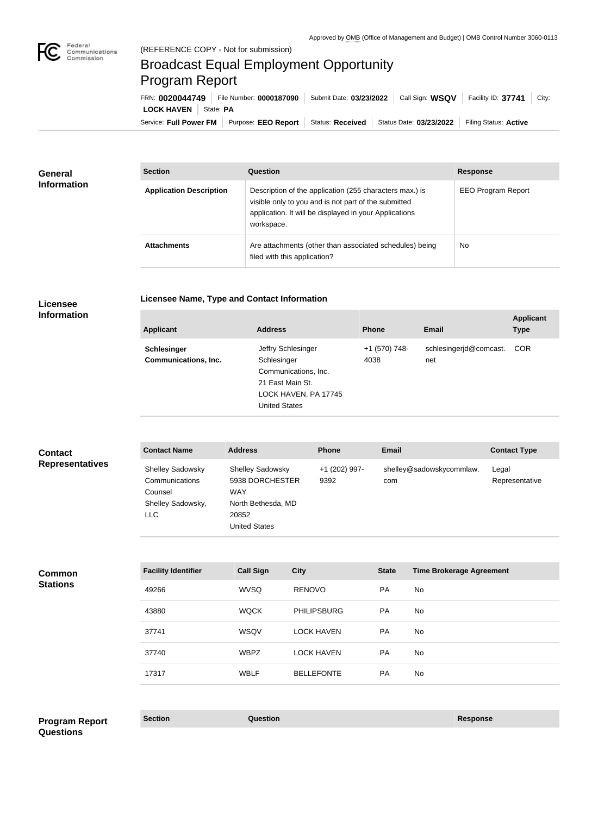

## Broadcast Equal Employment Opportunity Program Report

**Licensee Name, Type and Contact Information**

Service: Full Power FM | Purpose: EEO Report | Status: Received | Status Date: 03/23/2022 | Filing Status: Active **LOCK HAVEN** State: PA FRN: **0020044749** File Number: **0000187090** Submit Date: **03/23/2022** Call Sign: **WSQV** Facility ID: **37741** City:

| <b>General</b><br><b>Information</b> | <b>Section</b>                 | Question                                                                                                                                                                                | <b>Response</b>           |
|--------------------------------------|--------------------------------|-----------------------------------------------------------------------------------------------------------------------------------------------------------------------------------------|---------------------------|
|                                      | <b>Application Description</b> | Description of the application (255 characters max.) is<br>visible only to you and is not part of the submitted<br>application. It will be displayed in your Applications<br>workspace. | <b>EEO Program Report</b> |
|                                      | <b>Attachments</b>             | Are attachments (other than associated schedules) being<br>filed with this application?                                                                                                 | <b>No</b>                 |

## **Licensee Information**

| <b>Applicant</b>            | <b>Address</b>                                                                                   | <b>Phone</b>  | Email                  | <b>Applicant</b><br><b>Type</b> |
|-----------------------------|--------------------------------------------------------------------------------------------------|---------------|------------------------|---------------------------------|
| <b>Schlesinger</b>          | Jeffry Schlesinger                                                                               | +1 (570) 748- | schlesingerjd@comcast. | <b>COR</b>                      |
| <b>Communications, Inc.</b> | Schlesinger<br>Communications, Inc.<br>21 East Main St.<br>LOCK HAVEN, PA 17745<br>United States | 4038          | net                    |                                 |

| <b>Contact</b>         | <b>Contact Name</b>                                                              | <b>Address</b>                                                                                                  | <b>Phone</b>          | <b>Email</b>                    | <b>Contact Type</b>     |
|------------------------|----------------------------------------------------------------------------------|-----------------------------------------------------------------------------------------------------------------|-----------------------|---------------------------------|-------------------------|
| <b>Representatives</b> | <b>Shelley Sadowsky</b><br>Communications<br>Counsel<br>Shelley Sadowsky,<br>LLC | <b>Shelley Sadowsky</b><br>5938 DORCHESTER<br><b>WAY</b><br>North Bethesda, MD<br>20852<br><b>United States</b> | +1 (202) 997-<br>9392 | shelley@sadowskycommlaw.<br>com | Legal<br>Representative |

| <b>Facility Identifier</b> | <b>Call Sign</b> | <b>City</b>        | <b>State</b> | <b>Time Brokerage Agreement</b> |
|----------------------------|------------------|--------------------|--------------|---------------------------------|
| 49266                      | <b>WVSQ</b>      | <b>RENOVO</b>      | <b>PA</b>    | No.                             |
| 43880                      | <b>WQCK</b>      | <b>PHILIPSBURG</b> | <b>PA</b>    | No.                             |
| 37741                      | WSQV             | <b>LOCK HAVEN</b>  | <b>PA</b>    | No                              |
| 37740                      | <b>WBPZ</b>      | <b>LOCK HAVEN</b>  | <b>PA</b>    | No                              |
| 17317                      | <b>WBLF</b>      | <b>BELLEFONTE</b>  | <b>PA</b>    | No.                             |

**Section Question Response Program Report Questions**

**Common Stations**